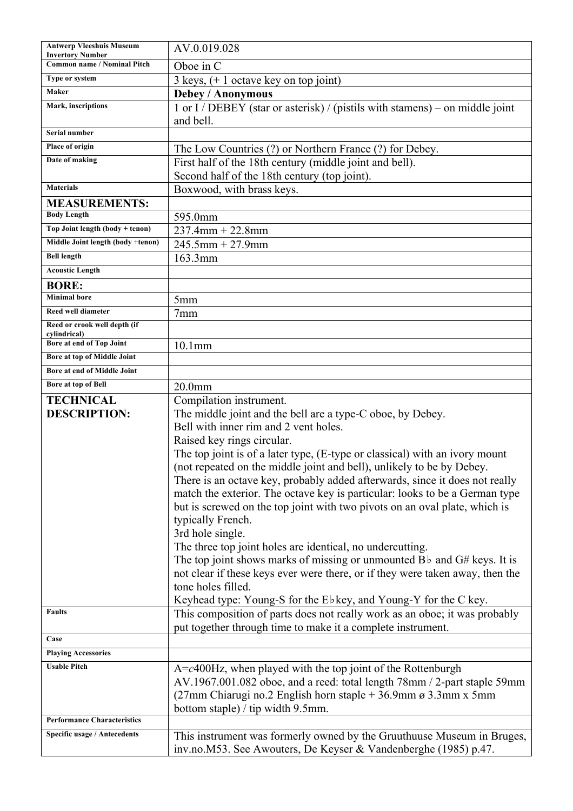| <b>Antwerp Vleeshuis Museum</b><br><b>Invertory Number</b> | AV.0.019.028                                                                     |
|------------------------------------------------------------|----------------------------------------------------------------------------------|
| <b>Common name / Nominal Pitch</b>                         | Oboe in C                                                                        |
| Type or system                                             | $3$ keys, $(+ 1$ octave key on top joint)                                        |
| Maker                                                      | <b>Debey / Anonymous</b>                                                         |
| Mark, inscriptions                                         | 1 or I / DEBEY (star or asterisk) / (pistils with stamens) – on middle joint     |
|                                                            | and bell.                                                                        |
| Serial number                                              |                                                                                  |
| Place of origin                                            | The Low Countries (?) or Northern France (?) for Debey.                          |
| Date of making                                             | First half of the 18th century (middle joint and bell).                          |
|                                                            | Second half of the 18th century (top joint).                                     |
| <b>Materials</b>                                           | Boxwood, with brass keys.                                                        |
| <b>MEASUREMENTS:</b>                                       |                                                                                  |
| <b>Body Length</b>                                         | 595.0mm                                                                          |
| Top Joint length (body + tenon)                            | $237.4$ mm + 22.8mm                                                              |
| Middle Joint length (body +tenon)                          | $245.5$ mm + 27.9mm                                                              |
| <b>Bell length</b>                                         | 163.3mm                                                                          |
| <b>Acoustic Length</b>                                     |                                                                                  |
| <b>BORE:</b>                                               |                                                                                  |
| <b>Minimal</b> bore                                        | 5 <sub>mm</sub>                                                                  |
| <b>Reed well diameter</b>                                  | 7 <sub>mm</sub>                                                                  |
| Reed or crook well depth (if                               |                                                                                  |
| cylindrical)<br>Bore at end of Top Joint                   | $10.1$ mm                                                                        |
| Bore at top of Middle Joint                                |                                                                                  |
| Bore at end of Middle Joint                                |                                                                                  |
| Bore at top of Bell                                        | 20.0 <sub>mm</sub>                                                               |
| <b>TECHNICAL</b>                                           | Compilation instrument.                                                          |
| <b>DESCRIPTION:</b>                                        | The middle joint and the bell are a type-C oboe, by Debey.                       |
|                                                            | Bell with inner rim and 2 vent holes.                                            |
|                                                            | Raised key rings circular.                                                       |
|                                                            | The top joint is of a later type, (E-type or classical) with an ivory mount      |
|                                                            | (not repeated on the middle joint and bell), unlikely to be by Debey.            |
|                                                            | There is an octave key, probably added afterwards, since it does not really      |
|                                                            | match the exterior. The octave key is particular: looks to be a German type      |
|                                                            | but is screwed on the top joint with two pivots on an oval plate, which is       |
|                                                            | typically French.                                                                |
|                                                            | 3rd hole single.                                                                 |
|                                                            | The three top joint holes are identical, no undercutting.                        |
|                                                            | The top joint shows marks of missing or unmounted $B\flat$ and $G\#$ keys. It is |
|                                                            | not clear if these keys ever were there, or if they were taken away, then the    |
|                                                            | tone holes filled.                                                               |
|                                                            | Keyhead type: Young-S for the Ebkey, and Young-Y for the C key.                  |
| Faults                                                     | This composition of parts does not really work as an oboe; it was probably       |
|                                                            | put together through time to make it a complete instrument.                      |
| Case                                                       |                                                                                  |
| <b>Playing Accessories</b><br><b>Usable Pitch</b>          |                                                                                  |
|                                                            | $A = c400$ Hz, when played with the top joint of the Rottenburgh                 |
|                                                            | AV.1967.001.082 oboe, and a reed: total length 78mm / 2-part staple 59mm         |
|                                                            | $(27mm)$ Chiarugi no.2 English horn staple + 36.9mm ø 3.3mm x 5mm                |
| <b>Performance Characteristics</b>                         | bottom staple) / tip width 9.5mm.                                                |
| Specific usage / Antecedents                               | This instrument was formerly owned by the Gruuthuuse Museum in Bruges,           |
|                                                            |                                                                                  |
|                                                            | inv.no.M53. See Awouters, De Keyser & Vandenberghe (1985) p.47.                  |